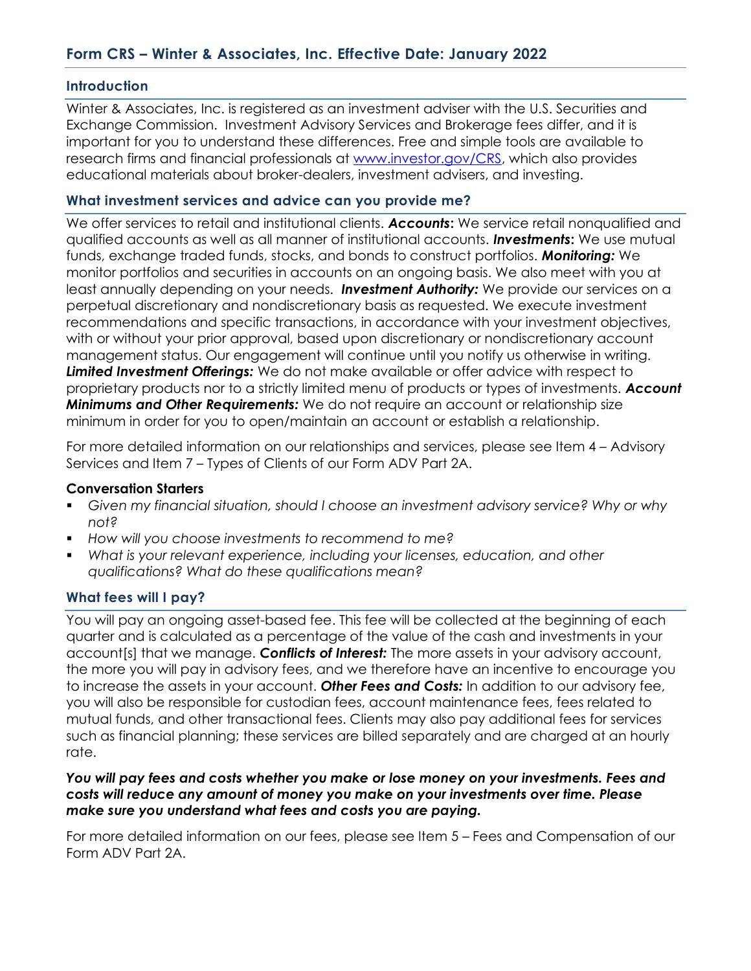### **Introduction**

Winter & Associates, Inc. is registered as an investment adviser with the U.S. Securities and Exchange Commission. Investment Advisory Services and Brokerage fees differ, and it is important for you to understand these differences. Free and simple tools are available to research firms and financial professionals at www.investor.gov/CRS, which also provides educational materials about broker-dealers, investment advisers, and investing.

### What investment services and advice can you provide me?

We offer services to retail and institutional clients. Accounts: We service retail nonqualified and qualified accounts as well as all manner of institutional accounts. **Investments:** We use mutual funds, exchange traded funds, stocks, and bonds to construct portfolios. Monitoring: We monitor portfolios and securities in accounts on an ongoing basis. We also meet with you at least annually depending on your needs. Investment Authority: We provide our services on a perpetual discretionary and nondiscretionary basis as requested. We execute investment recommendations and specific transactions, in accordance with your investment objectives, with or without your prior approval, based upon discretionary or nondiscretionary account management status. Our engagement will continue until you notify us otherwise in writing. Limited Investment Offerings: We do not make available or offer advice with respect to proprietary products nor to a strictly limited menu of products or types of investments. Account **Minimums and Other Requirements:** We do not require an account or relationship size minimum in order for you to open/maintain an account or establish a relationship.

For more detailed information on our relationships and services, please see Item 4 – Advisory Services and Item 7 – Types of Clients of our Form ADV Part 2A.

#### Conversation Starters

- Given my financial situation, should I choose an investment advisory service? Why or why not?
- How will you choose investments to recommend to me?
- What is your relevant experience, including your licenses, education, and other qualifications? What do these qualifications mean?

### What fees will I pay?

You will pay an ongoing asset-based fee. This fee will be collected at the beginning of each quarter and is calculated as a percentage of the value of the cash and investments in your account [s] that we manage. **Conflicts of Interest:** The more assets in your advisory account, the more you will pay in advisory fees, and we therefore have an incentive to encourage you to increase the assets in your account. Other Fees and Costs: In addition to our advisory fee, you will also be responsible for custodian fees, account maintenance fees, fees related to mutual funds, and other transactional fees. Clients may also pay additional fees for services such as financial planning; these services are billed separately and are charged at an hourly rate.

#### You will pay fees and costs whether you make or lose money on your investments. Fees and costs will reduce any amount of money you make on your investments over time. Please make sure you understand what fees and costs you are paying.

For more detailed information on our fees, please see Item 5 – Fees and Compensation of our Form ADV Part 2A.